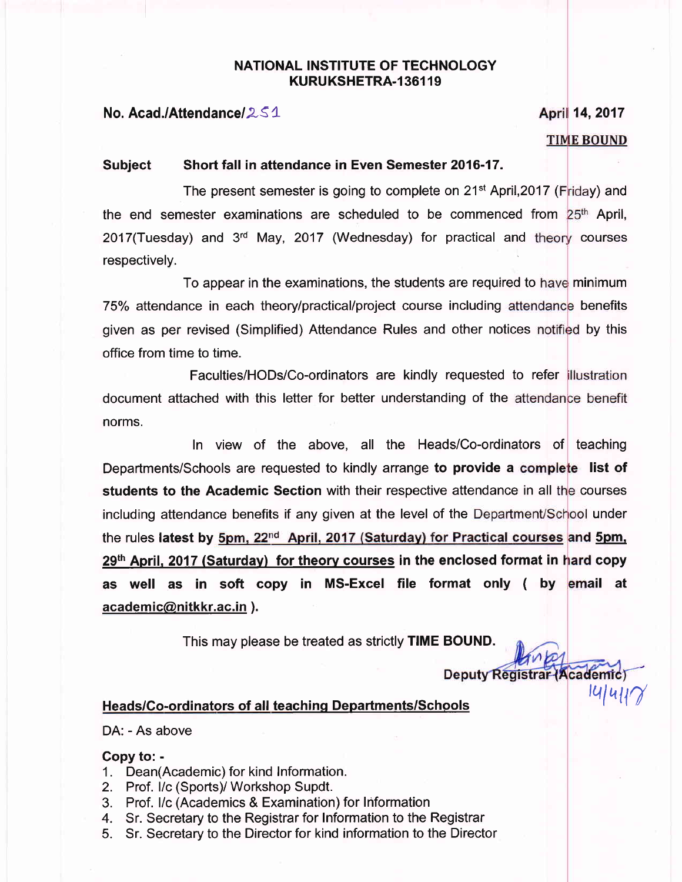#### NATIONAL INSTITUTE OF TECHNOLOGY KURUKSHETRA-136119

#### No. Acad./Attendance/2S1

# April 14, 2017 **TIME BOUND**

#### Subject Short fall in attendance in Even Semester 2016-17.

The present semester is going to complete on 21<sup>st</sup> April,2017 (Friday) and the end semester examinations are scheduled to be commenced from 25<sup>th</sup> April, 2017(Tuesday) and 3<sup>rd</sup> May, 2017 (Wednesday) for practical and theory courses respectively.

To appear in the examinations, the students are required to have minimum 75% attendance in each theory/practical/project course including attendance benefits given as per revised (Simplified) Attendance Rules and other notices notified by this office from time to time.

Faculties/HODs/Co-ordinators are kindly requested to refer document attached with this letter for better understanding of the norms.

In view of the above, all the Heads/Co-ordinators of teaching Departments/Schools are requested to kindly arrange to provide a complete list of students to the Academic Section with their respective attendance in all the courses including attendance benefits if any given at the level of the Department/School under the rules latest by <u>5pm, 22<sup>nd</sup> April, 2017 (Saturday) for Practical courses</u> and <u>5pm,</u> 29<sup>th</sup> April, 2017 (Saturday) for theory courses in the enclosed format in hard copy as well as in soft copy in MS-Excel file format only ( by <mark>email at</mark> academic@nitkkr.ac.in ).

This may please be treated as strictly TIME BOUND.

Deputy Registrar (Academic)

 $|U|U|U|U$ 

#### Heads/Co-ordinators of all teaching Departments/Schools

DA: - As above

#### Copy to: -

- 1. Dean(Academic) for kind Information.
- 2. Prof. l/c (Sports)/ Workshop Supdt.
- 3. Prof. l/c (Academics & Examination) for Information
- 4. Sr. Secretary to the Registrar for Information to the Registrar
- 5. Sr. Secretary to the Director for kind information to the Director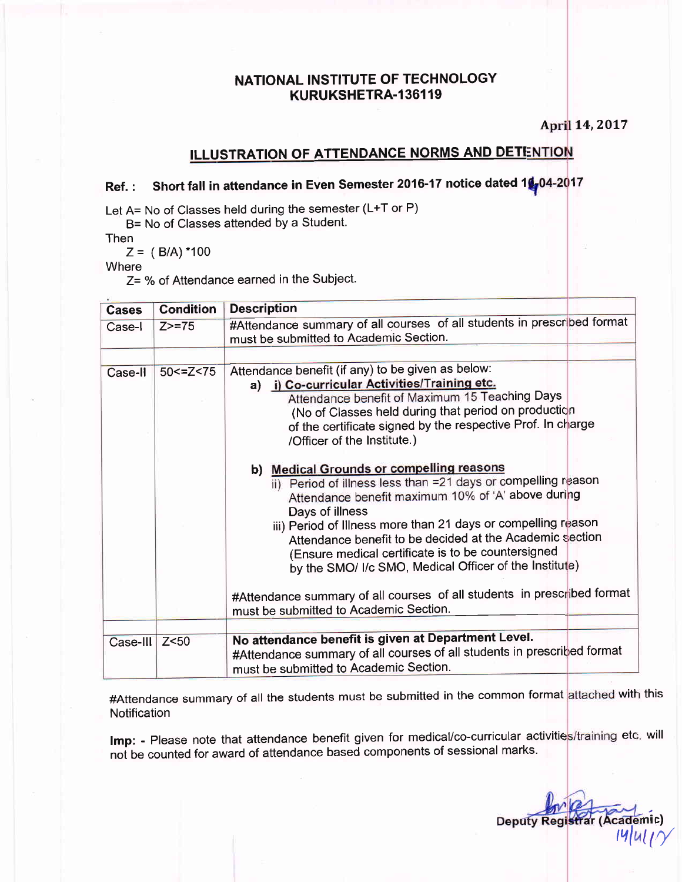### NATIONAL INSTITUTE OF TECHNOLOGY KURUKSHETRA-136119

April 14, 2017

## **ILLUSTRATION OF ATTENDANCE NORMS AND DETENTION**

# Ref.: Short fall in attendance in Even Semester 2016-17 notice dated 1<mark>4</mark>,04-2017

Let A= No of Classes held during the semester (L+T or P)

B= No of Classes attended by a Student.

Then<br> $Z = (B/A)^*100$ 

Where

 $Z=$  % of Attendance earned in the Subject.

| <b>Cases</b>  | <b>Condition</b> | <b>Description</b>                                                                                                                                                                                                                                                                                                                                                                                                              |  |  |  |  |
|---------------|------------------|---------------------------------------------------------------------------------------------------------------------------------------------------------------------------------------------------------------------------------------------------------------------------------------------------------------------------------------------------------------------------------------------------------------------------------|--|--|--|--|
| Case-I        | $Z > = 75$       | #Attendance summary of all courses of all students in prescribed format<br>must be submitted to Academic Section.                                                                                                                                                                                                                                                                                                               |  |  |  |  |
|               |                  |                                                                                                                                                                                                                                                                                                                                                                                                                                 |  |  |  |  |
| Case-II       | 50 < 2 < 75      | Attendance benefit (if any) to be given as below:<br>a) i) Co-curricular Activities/Training etc.<br>Attendance benefit of Maximum 15 Teaching Days<br>(No of Classes held during that period on production<br>of the certificate signed by the respective Prof. In charge<br>/Officer of the Institute.)                                                                                                                       |  |  |  |  |
|               |                  | b) Medical Grounds or compelling reasons<br>ii) Period of illness less than =21 days or compelling reason<br>Attendance benefit maximum 10% of 'A' above during<br>Days of illness<br>iii) Period of Illness more than 21 days or compelling reason<br>Attendance benefit to be decided at the Academic section<br>(Ensure medical certificate is to be countersigned<br>by the SMO/ I/c SMO, Medical Officer of the Institute) |  |  |  |  |
|               |                  | #Attendance summary of all courses of all students in prescribed format<br>must be submitted to Academic Section.                                                                                                                                                                                                                                                                                                               |  |  |  |  |
|               |                  |                                                                                                                                                                                                                                                                                                                                                                                                                                 |  |  |  |  |
| Case-III Z<50 |                  | No attendance benefit is given at Department Level.<br>#Attendance summary of all courses of all students in prescribed format<br>must be submitted to Academic Section.                                                                                                                                                                                                                                                        |  |  |  |  |

#Attendance summary of all the students must be submitted in the common format <mark>attached with this</mark> **Notification** 

Imp: - Please note that attendance benefit given for medical/co-curricular activities/training etc. will not be counted for award of attendance based components of sessional marks.

nic) **Deputy Reg** i)<br>V '4/4L